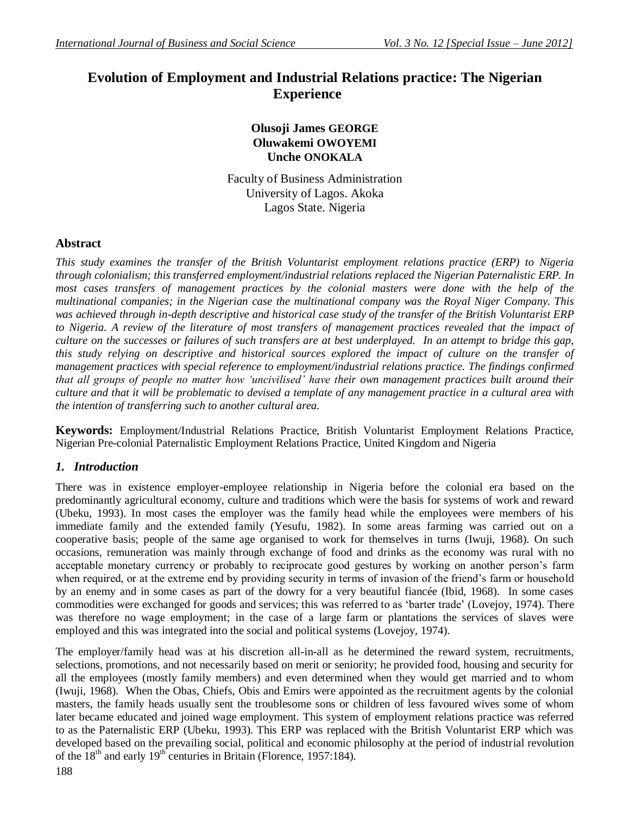# **Evolution of Employment and Industrial Relations practice: The Nigerian Experience**

# **Olusoji James GEORGE Oluwakemi OWOYEMI Unche ONOKALA**

Faculty of Business Administration University of Lagos. Akoka Lagos State. Nigeria

### **Abstract**

*This study examines the transfer of the British Voluntarist employment relations practice (ERP) to Nigeria through colonialism; this transferred employment/industrial relations replaced the Nigerian Paternalistic ERP. In most cases transfers of management practices by the colonial masters were done with the help of the multinational companies; in the Nigerian case the multinational company was the Royal Niger Company. This was achieved through in-depth descriptive and historical case study of the transfer of the British Voluntarist ERP to Nigeria. A review of the literature of most transfers of management practices revealed that the impact of culture on the successes or failures of such transfers are at best underplayed. In an attempt to bridge this gap, this study relying on descriptive and historical sources explored the impact of culture on the transfer of management practices with special reference to employment/industrial relations practice. The findings confirmed that all groups of people no matter how 'uncivilised' have their own management practices built around their culture and that it will be problematic to devised a template of any management practice in a cultural area with the intention of transferring such to another cultural area.*

**Keywords:** Employment/Industrial Relations Practice, British Voluntarist Employment Relations Practice, Nigerian Pre-colonial Paternalistic Employment Relations Practice, United Kingdom and Nigeria

### *1. Introduction*

There was in existence employer-employee relationship in Nigeria before the colonial era based on the predominantly agricultural economy, culture and traditions which were the basis for systems of work and reward (Ubeku, 1993). In most cases the employer was the family head while the employees were members of his immediate family and the extended family (Yesufu, 1982). In some areas farming was carried out on a cooperative basis; people of the same age organised to work for themselves in turns (Iwuji, 1968). On such occasions, remuneration was mainly through exchange of food and drinks as the economy was rural with no acceptable monetary currency or probably to reciprocate good gestures by working on another person"s farm when required, or at the extreme end by providing security in terms of invasion of the friend's farm or household by an enemy and in some cases as part of the dowry for a very beautiful fiancée (Ibid, 1968). In some cases commodities were exchanged for goods and services; this was referred to as "barter trade" (Lovejoy, 1974). There was therefore no wage employment; in the case of a large farm or plantations the services of slaves were employed and this was integrated into the social and political systems (Lovejoy, 1974).

The employer/family head was at his discretion all-in-all as he determined the reward system, recruitments, selections, promotions, and not necessarily based on merit or seniority; he provided food, housing and security for all the employees (mostly family members) and even determined when they would get married and to whom (Iwuji, 1968). When the Obas, Chiefs, Obis and Emirs were appointed as the recruitment agents by the colonial masters, the family heads usually sent the troublesome sons or children of less favoured wives some of whom later became educated and joined wage employment. This system of employment relations practice was referred to as the Paternalistic ERP (Ubeku, 1993). This ERP was replaced with the British Voluntarist ERP which was developed based on the prevailing social, political and economic philosophy at the period of industrial revolution of the  $18<sup>th</sup>$  and early  $19<sup>th</sup>$  centuries in Britain (Florence, 1957:184).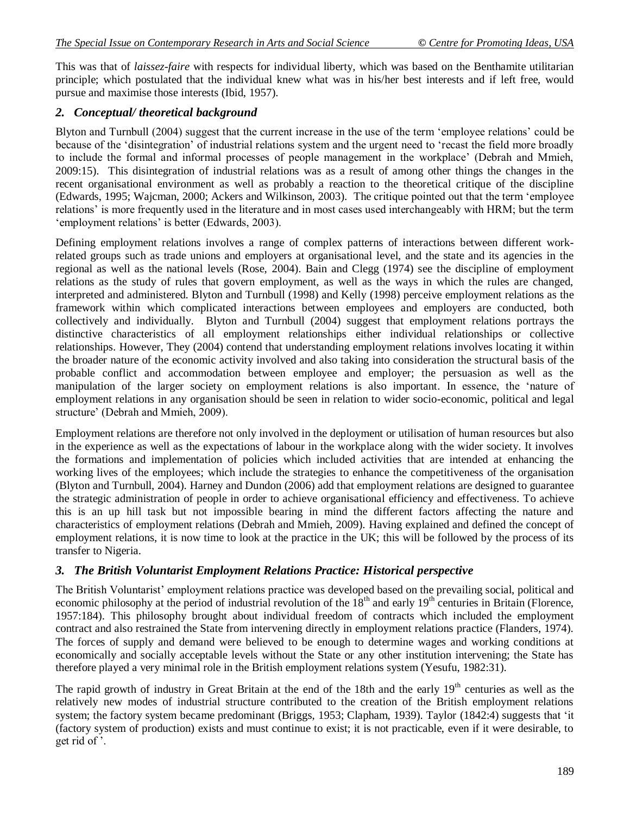This was that of *laissez-faire* with respects for individual liberty, which was based on the Benthamite utilitarian principle; which postulated that the individual knew what was in his/her best interests and if left free, would pursue and maximise those interests (Ibid, 1957).

### *2. Conceptual/ theoretical background*

Blyton and Turnbull (2004) suggest that the current increase in the use of the term "employee relations" could be because of the "disintegration" of industrial relations system and the urgent need to "recast the field more broadly to include the formal and informal processes of people management in the workplace" (Debrah and Mmieh, 2009:15). This disintegration of industrial relations was as a result of among other things the changes in the recent organisational environment as well as probably a reaction to the theoretical critique of the discipline (Edwards, 1995; Wajcman, 2000; Ackers and Wilkinson, 2003). The critique pointed out that the term "employee relations" is more frequently used in the literature and in most cases used interchangeably with HRM; but the term 'employment relations' is better (Edwards, 2003).

Defining employment relations involves a range of complex patterns of interactions between different workrelated groups such as trade unions and employers at organisational level, and the state and its agencies in the regional as well as the national levels (Rose, 2004). Bain and Clegg (1974) see the discipline of employment relations as the study of rules that govern employment, as well as the ways in which the rules are changed, interpreted and administered. Blyton and Turnbull (1998) and Kelly (1998) perceive employment relations as the framework within which complicated interactions between employees and employers are conducted, both collectively and individually. Blyton and Turnbull (2004) suggest that employment relations portrays the distinctive characteristics of all employment relationships either individual relationships or collective relationships. However, They (2004) contend that understanding employment relations involves locating it within the broader nature of the economic activity involved and also taking into consideration the structural basis of the probable conflict and accommodation between employee and employer; the persuasion as well as the manipulation of the larger society on employment relations is also important. In essence, the "nature of employment relations in any organisation should be seen in relation to wider socio-economic, political and legal structure' (Debrah and Mmieh, 2009).

Employment relations are therefore not only involved in the deployment or utilisation of human resources but also in the experience as well as the expectations of labour in the workplace along with the wider society. It involves the formations and implementation of policies which included activities that are intended at enhancing the working lives of the employees; which include the strategies to enhance the competitiveness of the organisation (Blyton and Turnbull, 2004). Harney and Dundon (2006) add that employment relations are designed to guarantee the strategic administration of people in order to achieve organisational efficiency and effectiveness. To achieve this is an up hill task but not impossible bearing in mind the different factors affecting the nature and characteristics of employment relations (Debrah and Mmieh, 2009). Having explained and defined the concept of employment relations, it is now time to look at the practice in the UK; this will be followed by the process of its transfer to Nigeria.

# *3. The British Voluntarist Employment Relations Practice: Historical perspective*

The British Voluntarist' employment relations practice was developed based on the prevailing social, political and economic philosophy at the period of industrial revolution of the  $18<sup>th</sup>$  and early  $19<sup>th</sup>$  centuries in Britain (Florence, 1957:184). This philosophy brought about individual freedom of contracts which included the employment contract and also restrained the State from intervening directly in employment relations practice (Flanders, 1974). The forces of supply and demand were believed to be enough to determine wages and working conditions at economically and socially acceptable levels without the State or any other institution intervening; the State has therefore played a very minimal role in the British employment relations system (Yesufu, 1982:31).

The rapid growth of industry in Great Britain at the end of the 18th and the early  $19<sup>th</sup>$  centuries as well as the relatively new modes of industrial structure contributed to the creation of the British employment relations system; the factory system became predominant (Briggs, 1953; Clapham, 1939). Taylor (1842:4) suggests that "it (factory system of production) exists and must continue to exist; it is not practicable, even if it were desirable, to get rid of ".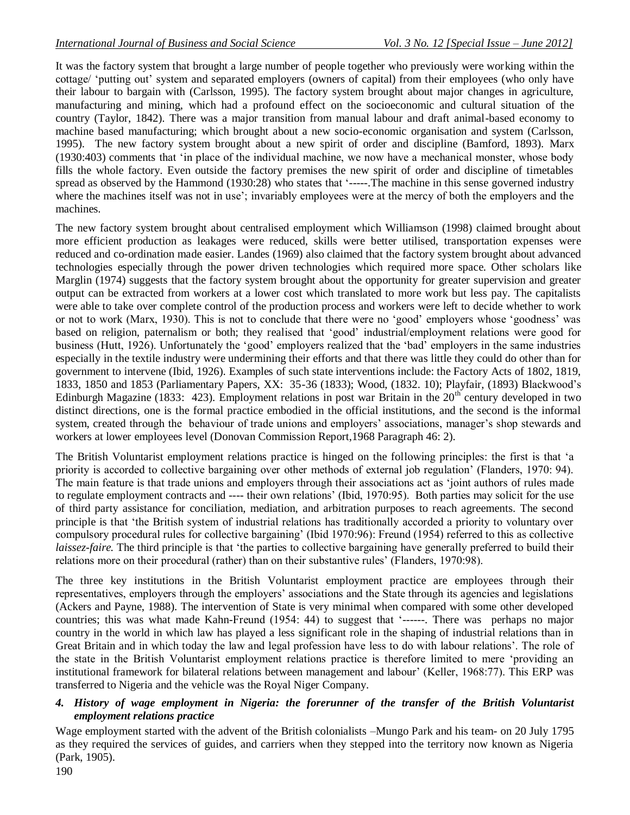It was the factory system that brought a large number of people together who previously were working within the cottage/ 'putting out' system and separated employers (owners of capital) from their employees (who only have their labour to bargain with (Carlsson, 1995). The factory system brought about major changes in agriculture, manufacturing and mining, which had a profound effect on the socioeconomic and cultural situation of the country (Taylor, 1842). There was a major transition from manual labour and draft animal-based economy to machine based manufacturing; which brought about a new socio-economic organisation and system (Carlsson, 1995). The new factory system brought about a new spirit of order and discipline (Bamford, 1893). Marx (1930:403) comments that "in place of the individual machine, we now have a mechanical monster, whose body fills the whole factory. Even outside the factory premises the new spirit of order and discipline of timetables spread as observed by the Hammond (1930:28) who states that '-----. The machine in this sense governed industry where the machines itself was not in use'; invariably employees were at the mercy of both the employers and the machines.

The new factory system brought about centralised employment which Williamson (1998) claimed brought about more efficient production as leakages were reduced, skills were better utilised, transportation expenses were reduced and co-ordination made easier. Landes (1969) also claimed that the factory system brought about advanced technologies especially through the power driven technologies which required more space. Other scholars like Marglin (1974) suggests that the factory system brought about the opportunity for greater supervision and greater output can be extracted from workers at a lower cost which translated to more work but less pay. The capitalists were able to take over complete control of the production process and workers were left to decide whether to work or not to work (Marx, 1930). This is not to conclude that there were no "good" employers whose "goodness" was based on religion, paternalism or both; they realised that "good" industrial/employment relations were good for business (Hutt, 1926). Unfortunately the "good" employers realized that the "bad" employers in the same industries especially in the textile industry were undermining their efforts and that there was little they could do other than for government to intervene (Ibid, 1926). Examples of such state interventions include: the Factory Acts of 1802, 1819, 1833, 1850 and 1853 (Parliamentary Papers, XX: 35-36 (1833); Wood, (1832. 10); Playfair, (1893) Blackwood"s Edinburgh Magazine (1833: 423). Employment relations in post war Britain in the 20<sup>th</sup> century developed in two distinct directions, one is the formal practice embodied in the official institutions, and the second is the informal system, created through the behaviour of trade unions and employers' associations, manager's shop stewards and workers at lower employees level (Donovan Commission Report,1968 Paragraph 46: 2).

The British Voluntarist employment relations practice is hinged on the following principles: the first is that "a priority is accorded to collective bargaining over other methods of external job regulation" (Flanders, 1970: 94). The main feature is that trade unions and employers through their associations act as "joint authors of rules made to regulate employment contracts and ---- their own relations" (Ibid, 1970:95). Both parties may solicit for the use of third party assistance for conciliation, mediation, and arbitration purposes to reach agreements. The second principle is that "the British system of industrial relations has traditionally accorded a priority to voluntary over compulsory procedural rules for collective bargaining" (Ibid 1970:96): Freund (1954) referred to this as collective *laissez-faire.* The third principle is that "the parties to collective bargaining have generally preferred to build their relations more on their procedural (rather) than on their substantive rules' (Flanders, 1970:98).

The three key institutions in the British Voluntarist employment practice are employees through their representatives, employers through the employers" associations and the State through its agencies and legislations (Ackers and Payne, 1988). The intervention of State is very minimal when compared with some other developed countries; this was what made Kahn-Freund (1954: 44) to suggest that "------. There was perhaps no major country in the world in which law has played a less significant role in the shaping of industrial relations than in Great Britain and in which today the law and legal profession have less to do with labour relations". The role of the state in the British Voluntarist employment relations practice is therefore limited to mere "providing an institutional framework for bilateral relations between management and labour" (Keller, 1968:77). This ERP was transferred to Nigeria and the vehicle was the Royal Niger Company.

#### *4. History of wage employment in Nigeria: the forerunner of the transfer of the British Voluntarist employment relations practice*

Wage employment started with the advent of the British colonialists –Mungo Park and his team- on 20 July 1795 as they required the services of guides, and carriers when they stepped into the territory now known as Nigeria (Park, 1905).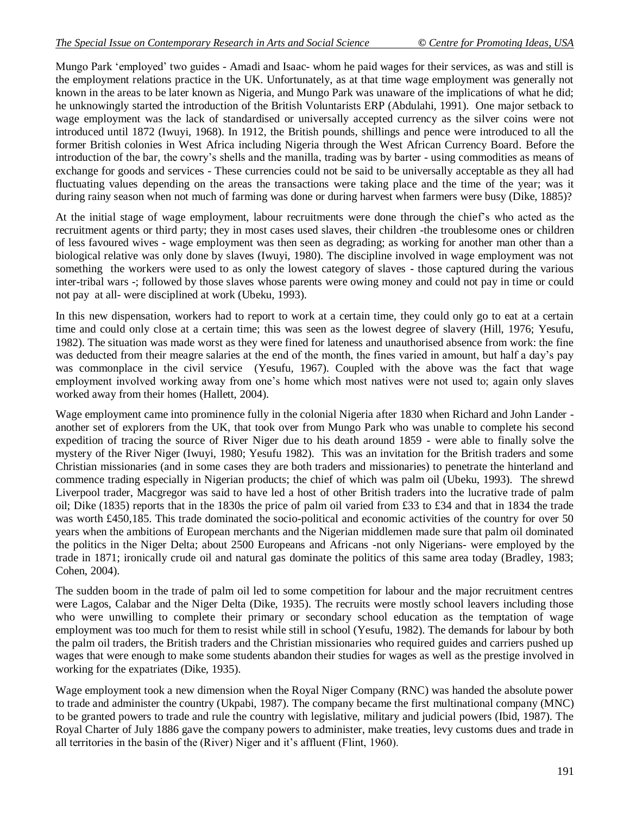Mungo Park "employed" two guides - Amadi and Isaac- whom he paid wages for their services, as was and still is the employment relations practice in the UK. Unfortunately, as at that time wage employment was generally not known in the areas to be later known as Nigeria, and Mungo Park was unaware of the implications of what he did; he unknowingly started the introduction of the British Voluntarists ERP (Abdulahi, 1991). One major setback to wage employment was the lack of standardised or universally accepted currency as the silver coins were not introduced until 1872 (Iwuyi, 1968). In 1912, the British pounds, shillings and pence were introduced to all the former British colonies in West Africa including Nigeria through the West African Currency Board. Before the introduction of the bar, the cowry"s shells and the manilla, trading was by barter - using commodities as means of exchange for goods and services - These currencies could not be said to be universally acceptable as they all had fluctuating values depending on the areas the transactions were taking place and the time of the year; was it during rainy season when not much of farming was done or during harvest when farmers were busy (Dike, 1885)?

At the initial stage of wage employment, labour recruitments were done through the chief"s who acted as the recruitment agents or third party; they in most cases used slaves, their children -the troublesome ones or children of less favoured wives - wage employment was then seen as degrading; as working for another man other than a biological relative was only done by slaves (Iwuyi, 1980). The discipline involved in wage employment was not something the workers were used to as only the lowest category of slaves - those captured during the various inter-tribal wars -; followed by those slaves whose parents were owing money and could not pay in time or could not pay at all- were disciplined at work (Ubeku, 1993).

In this new dispensation, workers had to report to work at a certain time, they could only go to eat at a certain time and could only close at a certain time; this was seen as the lowest degree of slavery (Hill, 1976; Yesufu, 1982). The situation was made worst as they were fined for lateness and unauthorised absence from work: the fine was deducted from their meagre salaries at the end of the month, the fines varied in amount, but half a day's pay was commonplace in the civil service (Yesufu, 1967). Coupled with the above was the fact that wage employment involved working away from one"s home which most natives were not used to; again only slaves worked away from their homes (Hallett, 2004).

Wage employment came into prominence fully in the colonial Nigeria after 1830 when Richard and John Lander another set of explorers from the UK, that took over from Mungo Park who was unable to complete his second expedition of tracing the source of River Niger due to his death around 1859 - were able to finally solve the mystery of the River Niger (Iwuyi, 1980; Yesufu 1982). This was an invitation for the British traders and some Christian missionaries (and in some cases they are both traders and missionaries) to penetrate the hinterland and commence trading especially in Nigerian products; the chief of which was palm oil (Ubeku, 1993). The shrewd Liverpool trader, Macgregor was said to have led a host of other British traders into the lucrative trade of palm oil; Dike (1835) reports that in the 1830s the price of palm oil varied from £33 to £34 and that in 1834 the trade was worth £450,185. This trade dominated the socio-political and economic activities of the country for over 50 years when the ambitions of European merchants and the Nigerian middlemen made sure that palm oil dominated the politics in the Niger Delta; about 2500 Europeans and Africans -not only Nigerians- were employed by the trade in 1871; ironically crude oil and natural gas dominate the politics of this same area today (Bradley, 1983; Cohen, 2004).

The sudden boom in the trade of palm oil led to some competition for labour and the major recruitment centres were Lagos, Calabar and the Niger Delta (Dike, 1935). The recruits were mostly school leavers including those who were unwilling to complete their primary or secondary school education as the temptation of wage employment was too much for them to resist while still in school (Yesufu, 1982). The demands for labour by both the palm oil traders, the British traders and the Christian missionaries who required guides and carriers pushed up wages that were enough to make some students abandon their studies for wages as well as the prestige involved in working for the expatriates (Dike, 1935).

Wage employment took a new dimension when the Royal Niger Company (RNC) was handed the absolute power to trade and administer the country (Ukpabi, 1987). The company became the first multinational company (MNC) to be granted powers to trade and rule the country with legislative, military and judicial powers (Ibid, 1987). The Royal Charter of July 1886 gave the company powers to administer, make treaties, levy customs dues and trade in all territories in the basin of the (River) Niger and it"s affluent (Flint, 1960).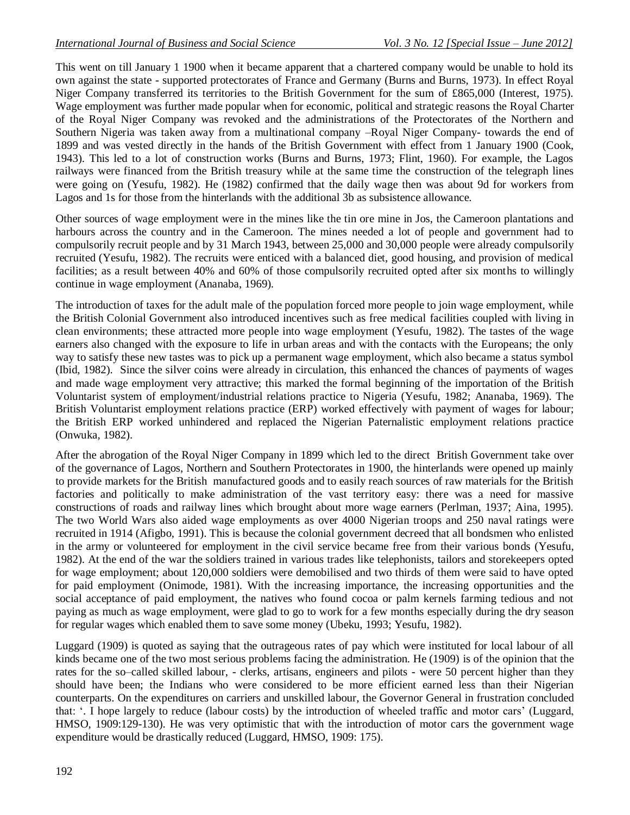This went on till January 1 1900 when it became apparent that a chartered company would be unable to hold its own against the state - supported protectorates of France and Germany (Burns and Burns, 1973). In effect Royal Niger Company transferred its territories to the British Government for the sum of £865,000 (Interest, 1975). Wage employment was further made popular when for economic, political and strategic reasons the Royal Charter of the Royal Niger Company was revoked and the administrations of the Protectorates of the Northern and Southern Nigeria was taken away from a multinational company –Royal Niger Company- towards the end of 1899 and was vested directly in the hands of the British Government with effect from 1 January 1900 (Cook, 1943). This led to a lot of construction works (Burns and Burns, 1973; Flint, 1960). For example, the Lagos railways were financed from the British treasury while at the same time the construction of the telegraph lines were going on (Yesufu, 1982). He (1982) confirmed that the daily wage then was about 9d for workers from Lagos and 1s for those from the hinterlands with the additional 3b as subsistence allowance.

Other sources of wage employment were in the mines like the tin ore mine in Jos, the Cameroon plantations and harbours across the country and in the Cameroon. The mines needed a lot of people and government had to compulsorily recruit people and by 31 March 1943, between 25,000 and 30,000 people were already compulsorily recruited (Yesufu, 1982). The recruits were enticed with a balanced diet, good housing, and provision of medical facilities; as a result between 40% and 60% of those compulsorily recruited opted after six months to willingly continue in wage employment (Ananaba, 1969).

The introduction of taxes for the adult male of the population forced more people to join wage employment, while the British Colonial Government also introduced incentives such as free medical facilities coupled with living in clean environments; these attracted more people into wage employment (Yesufu, 1982). The tastes of the wage earners also changed with the exposure to life in urban areas and with the contacts with the Europeans; the only way to satisfy these new tastes was to pick up a permanent wage employment, which also became a status symbol (Ibid, 1982). Since the silver coins were already in circulation, this enhanced the chances of payments of wages and made wage employment very attractive; this marked the formal beginning of the importation of the British Voluntarist system of employment/industrial relations practice to Nigeria (Yesufu, 1982; Ananaba, 1969). The British Voluntarist employment relations practice (ERP) worked effectively with payment of wages for labour; the British ERP worked unhindered and replaced the Nigerian Paternalistic employment relations practice (Onwuka, 1982).

After the abrogation of the Royal Niger Company in 1899 which led to the direct British Government take over of the governance of Lagos, Northern and Southern Protectorates in 1900, the hinterlands were opened up mainly to provide markets for the British manufactured goods and to easily reach sources of raw materials for the British factories and politically to make administration of the vast territory easy: there was a need for massive constructions of roads and railway lines which brought about more wage earners (Perlman, 1937; Aina, 1995). The two World Wars also aided wage employments as over 4000 Nigerian troops and 250 naval ratings were recruited in 1914 (Afigbo, 1991). This is because the colonial government decreed that all bondsmen who enlisted in the army or volunteered for employment in the civil service became free from their various bonds (Yesufu, 1982). At the end of the war the soldiers trained in various trades like telephonists, tailors and storekeepers opted for wage employment; about 120,000 soldiers were demobilised and two thirds of them were said to have opted for paid employment (Onimode, 1981). With the increasing importance, the increasing opportunities and the social acceptance of paid employment, the natives who found cocoa or palm kernels farming tedious and not paying as much as wage employment, were glad to go to work for a few months especially during the dry season for regular wages which enabled them to save some money (Ubeku, 1993; Yesufu, 1982).

Luggard (1909) is quoted as saying that the outrageous rates of pay which were instituted for local labour of all kinds became one of the two most serious problems facing the administration. He (1909) is of the opinion that the rates for the so–called skilled labour, - clerks, artisans, engineers and pilots - were 50 percent higher than they should have been; the Indians who were considered to be more efficient earned less than their Nigerian counterparts. On the expenditures on carriers and unskilled labour, the Governor General in frustration concluded that: ". I hope largely to reduce (labour costs) by the introduction of wheeled traffic and motor cars" (Luggard, HMSO, 1909:129-130). He was very optimistic that with the introduction of motor cars the government wage expenditure would be drastically reduced (Luggard, HMSO, 1909: 175).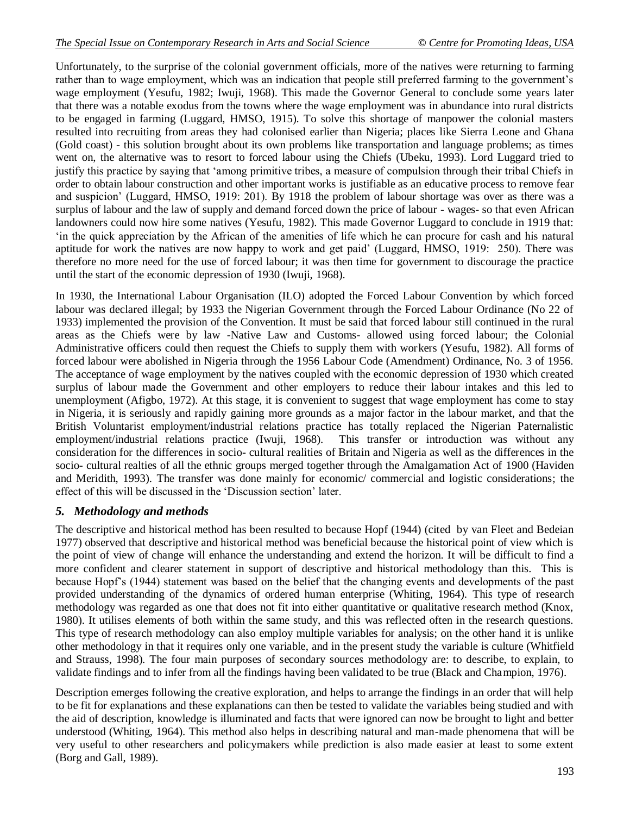Unfortunately, to the surprise of the colonial government officials, more of the natives were returning to farming rather than to wage employment, which was an indication that people still preferred farming to the government's wage employment (Yesufu, 1982; Iwuji, 1968). This made the Governor General to conclude some years later that there was a notable exodus from the towns where the wage employment was in abundance into rural districts to be engaged in farming (Luggard, HMSO, 1915). To solve this shortage of manpower the colonial masters resulted into recruiting from areas they had colonised earlier than Nigeria; places like Sierra Leone and Ghana (Gold coast) - this solution brought about its own problems like transportation and language problems; as times went on, the alternative was to resort to forced labour using the Chiefs (Ubeku, 1993). Lord Luggard tried to justify this practice by saying that "among primitive tribes, a measure of compulsion through their tribal Chiefs in order to obtain labour construction and other important works is justifiable as an educative process to remove fear and suspicion" (Luggard, HMSO, 1919: 201). By 1918 the problem of labour shortage was over as there was a surplus of labour and the law of supply and demand forced down the price of labour - wages- so that even African landowners could now hire some natives (Yesufu, 1982). This made Governor Luggard to conclude in 1919 that: "in the quick appreciation by the African of the amenities of life which he can procure for cash and his natural aptitude for work the natives are now happy to work and get paid" (Luggard, HMSO, 1919: 250). There was therefore no more need for the use of forced labour; it was then time for government to discourage the practice until the start of the economic depression of 1930 (Iwuji, 1968).

In 1930, the International Labour Organisation (ILO) adopted the Forced Labour Convention by which forced labour was declared illegal; by 1933 the Nigerian Government through the Forced Labour Ordinance (No 22 of 1933) implemented the provision of the Convention. It must be said that forced labour still continued in the rural areas as the Chiefs were by law -Native Law and Customs- allowed using forced labour; the Colonial Administrative officers could then request the Chiefs to supply them with workers (Yesufu, 1982). All forms of forced labour were abolished in Nigeria through the 1956 Labour Code (Amendment) Ordinance, No. 3 of 1956. The acceptance of wage employment by the natives coupled with the economic depression of 1930 which created surplus of labour made the Government and other employers to reduce their labour intakes and this led to unemployment (Afigbo, 1972). At this stage, it is convenient to suggest that wage employment has come to stay in Nigeria, it is seriously and rapidly gaining more grounds as a major factor in the labour market, and that the British Voluntarist employment/industrial relations practice has totally replaced the Nigerian Paternalistic employment/industrial relations practice (Iwuji, 1968). This transfer or introduction was without any consideration for the differences in socio- cultural realities of Britain and Nigeria as well as the differences in the socio- cultural realties of all the ethnic groups merged together through the Amalgamation Act of 1900 (Haviden and Meridith, 1993). The transfer was done mainly for economic/ commercial and logistic considerations; the effect of this will be discussed in the "Discussion section" later.

# *5. Methodology and methods*

The descriptive and historical method has been resulted to because Hopf (1944) (cited by van Fleet and Bedeian 1977) observed that descriptive and historical method was beneficial because the historical point of view which is the point of view of change will enhance the understanding and extend the horizon. It will be difficult to find a more confident and clearer statement in support of descriptive and historical methodology than this. This is because Hopf"s (1944) statement was based on the belief that the changing events and developments of the past provided understanding of the dynamics of ordered human enterprise (Whiting, 1964). This type of research methodology was regarded as one that does not fit into either quantitative or qualitative research method (Knox, 1980). It utilises elements of both within the same study, and this was reflected often in the research questions. This type of research methodology can also employ multiple variables for analysis; on the other hand it is unlike other methodology in that it requires only one variable, and in the present study the variable is culture (Whitfield and Strauss, 1998). The four main purposes of secondary sources methodology are: to describe, to explain, to validate findings and to infer from all the findings having been validated to be true (Black and Champion, 1976).

Description emerges following the creative exploration, and helps to arrange the findings in an order that will help to be fit for explanations and these explanations can then be tested to validate the variables being studied and with the aid of description, knowledge is illuminated and facts that were ignored can now be brought to light and better understood (Whiting, 1964). This method also helps in describing natural and man-made phenomena that will be very useful to other researchers and policymakers while prediction is also made easier at least to some extent (Borg and Gall, 1989).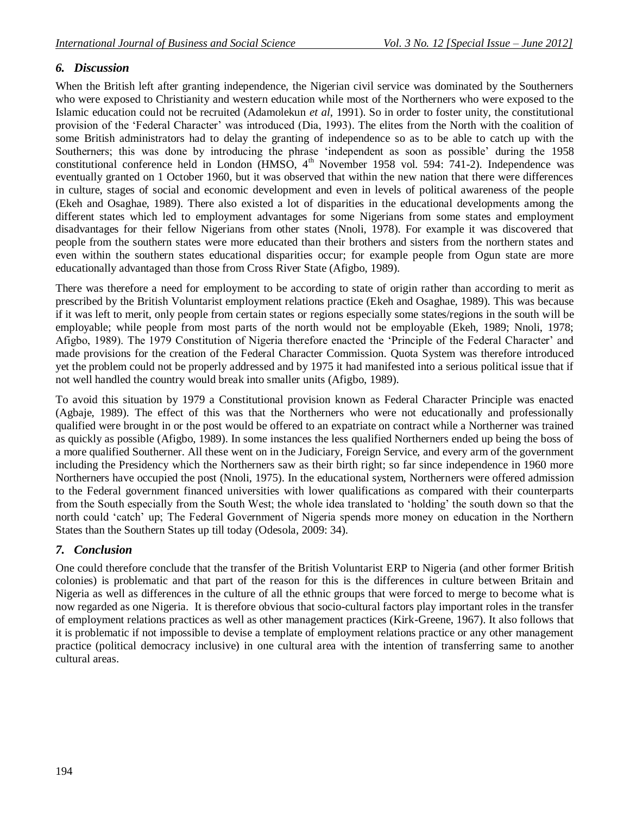# *6. Discussion*

When the British left after granting independence, the Nigerian civil service was dominated by the Southerners who were exposed to Christianity and western education while most of the Northerners who were exposed to the Islamic education could not be recruited (Adamolekun *et al*, 1991). So in order to foster unity, the constitutional provision of the "Federal Character" was introduced (Dia, 1993). The elites from the North with the coalition of some British administrators had to delay the granting of independence so as to be able to catch up with the Southerners; this was done by introducing the phrase "independent as soon as possible" during the 1958 constitutional conference held in London (HMSO, 4<sup>th</sup> November 1958 vol. 594: 741-2). Independence was eventually granted on 1 October 1960, but it was observed that within the new nation that there were differences in culture, stages of social and economic development and even in levels of political awareness of the people (Ekeh and Osaghae, 1989). There also existed a lot of disparities in the educational developments among the different states which led to employment advantages for some Nigerians from some states and employment disadvantages for their fellow Nigerians from other states (Nnoli, 1978). For example it was discovered that people from the southern states were more educated than their brothers and sisters from the northern states and even within the southern states educational disparities occur; for example people from Ogun state are more educationally advantaged than those from Cross River State (Afigbo, 1989).

There was therefore a need for employment to be according to state of origin rather than according to merit as prescribed by the British Voluntarist employment relations practice (Ekeh and Osaghae, 1989). This was because if it was left to merit, only people from certain states or regions especially some states/regions in the south will be employable; while people from most parts of the north would not be employable (Ekeh, 1989; Nnoli, 1978; Afigbo, 1989). The 1979 Constitution of Nigeria therefore enacted the "Principle of the Federal Character" and made provisions for the creation of the Federal Character Commission. Quota System was therefore introduced yet the problem could not be properly addressed and by 1975 it had manifested into a serious political issue that if not well handled the country would break into smaller units (Afigbo, 1989).

To avoid this situation by 1979 a Constitutional provision known as Federal Character Principle was enacted (Agbaje, 1989). The effect of this was that the Northerners who were not educationally and professionally qualified were brought in or the post would be offered to an expatriate on contract while a Northerner was trained as quickly as possible (Afigbo, 1989). In some instances the less qualified Northerners ended up being the boss of a more qualified Southerner. All these went on in the Judiciary, Foreign Service, and every arm of the government including the Presidency which the Northerners saw as their birth right; so far since independence in 1960 more Northerners have occupied the post (Nnoli, 1975). In the educational system, Northerners were offered admission to the Federal government financed universities with lower qualifications as compared with their counterparts from the South especially from the South West; the whole idea translated to "holding" the south down so that the north could "catch" up; The Federal Government of Nigeria spends more money on education in the Northern States than the Southern States up till today (Odesola, 2009: 34).

# *7. Conclusion*

One could therefore conclude that the transfer of the British Voluntarist ERP to Nigeria (and other former British colonies) is problematic and that part of the reason for this is the differences in culture between Britain and Nigeria as well as differences in the culture of all the ethnic groups that were forced to merge to become what is now regarded as one Nigeria. It is therefore obvious that socio-cultural factors play important roles in the transfer of employment relations practices as well as other management practices (Kirk-Greene, 1967). It also follows that it is problematic if not impossible to devise a template of employment relations practice or any other management practice (political democracy inclusive) in one cultural area with the intention of transferring same to another cultural areas.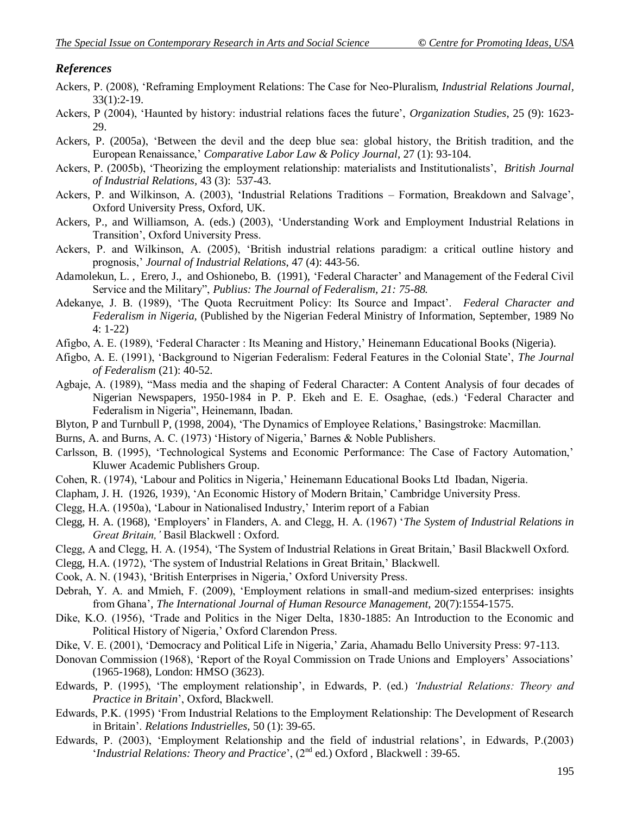# *References*

- Ackers, P. (2008), "Reframing Employment Relations: The Case for Neo-Pluralism, *Industrial Relations Journal,*  33(1):2-19.
- Ackers, P (2004), "Haunted by history: industrial relations faces the future", *Organization Studies*, 25 (9): 1623- 29.
- Ackers, P. (2005a), "Between the devil and the deep blue sea: global history, the British tradition, and the European Renaissance," *Comparative Labor Law & Policy Journal*, 27 (1): 93-104.
- Ackers, P. (2005b), "Theorizing the employment relationship: materialists and Institutionalists", *British Journal of Industrial Relations,* 43 (3): 537-43.
- Ackers, P. and Wilkinson, A. (2003), "Industrial Relations Traditions Formation, Breakdown and Salvage", Oxford University Press, Oxford, UK.
- Ackers, P., and Williamson, A. (eds.) (2003), "Understanding Work and Employment Industrial Relations in Transition", Oxford University Press.
- Ackers, P. and Wilkinson, A. (2005), "British industrial relations paradigm: a critical outline history and prognosis," *Journal of Industrial Relations*, 47 (4): 443-56.
- Adamolekun, L. , Erero, J., and Oshionebo, B. (1991), "Federal Character" and Management of the Federal Civil Service and the Military", *Publius: The Journal of Federalism, 21: 75-88.*
- Adekanye, J. B. (1989), "The Quota Recruitment Policy: Its Source and Impact". *Federal Character and Federalism in Nigeria,* (Published by the Nigerian Federal Ministry of Information, September, 1989 No 4: 1-22)
- Afigbo, A. E. (1989), 'Federal Character : Its Meaning and History,' Heinemann Educational Books (Nigeria).
- Afigbo, A. E. (1991), "Background to Nigerian Federalism: Federal Features in the Colonial State", *The Journal of Federalism* (21): 40-52.
- Agbaje, A. (1989), "Mass media and the shaping of Federal Character: A Content Analysis of four decades of Nigerian Newspapers, 1950-1984 in P. P. Ekeh and E. E. Osaghae, (eds.) "Federal Character and Federalism in Nigeria", Heinemann, Ibadan.
- Blyton, P and Turnbull P, (1998, 2004), "The Dynamics of Employee Relations," Basingstroke: Macmillan.
- Burns, A. and Burns, A. C. (1973) 'History of Nigeria,' Barnes & Noble Publishers.
- Carlsson, B. (1995), "Technological Systems and Economic Performance: The Case of Factory Automation," Kluwer Academic Publishers Group.
- Cohen, R. (1974), 'Labour and Politics in Nigeria,' Heinemann Educational Books Ltd Ibadan, Nigeria.
- Clapham, J. H. (1926, 1939), "An Economic History of Modern Britain," Cambridge University Press.
- Clegg, H.A. (1950a), "Labour in Nationalised Industry," Interim report of a Fabian
- Clegg, H. A. (1968), "Employers" in Flanders, A. and Clegg, H. A. (1967) "*The System of Industrial Relations in Great Britain,'* Basil Blackwell : Oxford.
- Clegg, A and Clegg, H. A. (1954), "The System of Industrial Relations in Great Britain," Basil Blackwell Oxford.
- Clegg, H.A. (1972), "The system of Industrial Relations in Great Britain," Blackwell.
- Cook, A. N. (1943), "British Enterprises in Nigeria," Oxford University Press.
- Debrah, Y. A. and Mmieh, F. (2009), "Employment relations in small-and medium-sized enterprises: insights from Ghana", *The International Journal of Human Resource Management,* 20(7):1554-1575.
- Dike, K.O. (1956), 'Trade and Politics in the Niger Delta, 1830-1885: An Introduction to the Economic and Political History of Nigeria,' Oxford Clarendon Press.
- Dike, V. E. (2001), 'Democracy and Political Life in Nigeria,' Zaria, Ahamadu Bello University Press: 97-113.
- Donovan Commission (1968), 'Report of the Royal Commission on Trade Unions and Employers' Associations' (1965-1968), London: HMSO (3623).
- Edwards, P. (1995), "The employment relationship", in Edwards, P. (ed.) *'Industrial Relations: Theory and Practice in Britain*", Oxford, Blackwell.
- Edwards, P.K. (1995) "From Industrial Relations to the Employment Relationship: The Development of Research in Britain". *Relations Industrielles,* 50 (1): 39-65.
- Edwards, P. (2003), "Employment Relationship and the field of industrial relations", in Edwards, P.(2003) 'Industrial Relations: Theory and Practice', (2<sup>nd</sup> ed.) Oxford, Blackwell : 39-65.